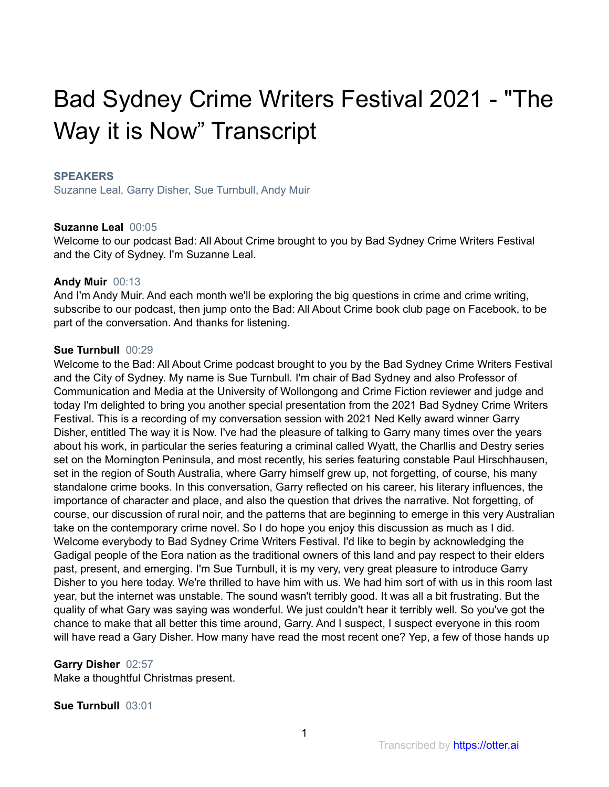# Bad Sydney Crime Writers Festival 2021 - "The Way it is Now" Transcript

#### **SPEAKERS**

Suzanne Leal, Garry Disher, Sue Turnbull, Andy Muir

#### **Suzanne Leal** 00:05

Welcome to our podcast Bad: All About Crime brought to you by Bad Sydney Crime Writers Festival and the City of Sydney. I'm Suzanne Leal.

#### **Andy Muir** 00:13

And I'm Andy Muir. And each month we'll be exploring the big questions in crime and crime writing, subscribe to our podcast, then jump onto the Bad: All About Crime book club page on Facebook, to be part of the conversation. And thanks for listening.

#### **Sue Turnbull** 00:29

Welcome to the Bad: All About Crime podcast brought to you by the Bad Sydney Crime Writers Festival and the City of Sydney. My name is Sue Turnbull. I'm chair of Bad Sydney and also Professor of Communication and Media at the University of Wollongong and Crime Fiction reviewer and judge and today I'm delighted to bring you another special presentation from the 2021 Bad Sydney Crime Writers Festival. This is a recording of my conversation session with 2021 Ned Kelly award winner Garry Disher, entitled The way it is Now. I've had the pleasure of talking to Garry many times over the years about his work, in particular the series featuring a criminal called Wyatt, the Charllis and Destry series set on the Mornington Peninsula, and most recently, his series featuring constable Paul Hirschhausen, set in the region of South Australia, where Garry himself grew up, not forgetting, of course, his many standalone crime books. In this conversation, Garry reflected on his career, his literary influences, the importance of character and place, and also the question that drives the narrative. Not forgetting, of course, our discussion of rural noir, and the patterns that are beginning to emerge in this very Australian take on the contemporary crime novel. So I do hope you enjoy this discussion as much as I did. Welcome everybody to Bad Sydney Crime Writers Festival. I'd like to begin by acknowledging the Gadigal people of the Eora nation as the traditional owners of this land and pay respect to their elders past, present, and emerging. I'm Sue Turnbull, it is my very, very great pleasure to introduce Garry Disher to you here today. We're thrilled to have him with us. We had him sort of with us in this room last year, but the internet was unstable. The sound wasn't terribly good. It was all a bit frustrating. But the quality of what Gary was saying was wonderful. We just couldn't hear it terribly well. So you've got the chance to make that all better this time around, Garry. And I suspect, I suspect everyone in this room will have read a Gary Disher. How many have read the most recent one? Yep, a few of those hands up

#### **Garry Disher** 02:57

Make a thoughtful Christmas present.

#### **Sue Turnbull** 03:01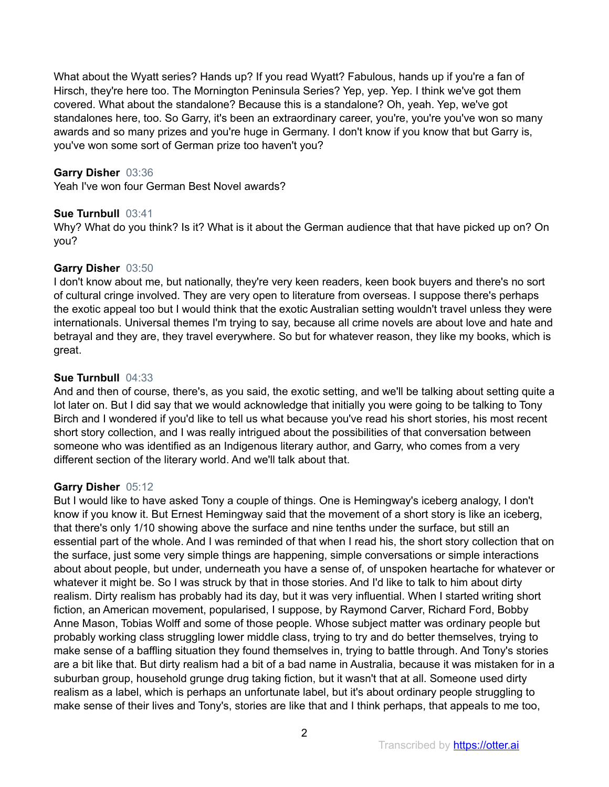What about the Wyatt series? Hands up? If you read Wyatt? Fabulous, hands up if you're a fan of Hirsch, they're here too. The Mornington Peninsula Series? Yep, yep. Yep. I think we've got them covered. What about the standalone? Because this is a standalone? Oh, yeah. Yep, we've got standalones here, too. So Garry, it's been an extraordinary career, you're, you're you've won so many awards and so many prizes and you're huge in Germany. I don't know if you know that but Garry is, you've won some sort of German prize too haven't you?

## **Garry Disher** 03:36

Yeah I've won four German Best Novel awards?

#### **Sue Turnbull** 03:41

Why? What do you think? Is it? What is it about the German audience that that have picked up on? On you?

#### **Garry Disher** 03:50

I don't know about me, but nationally, they're very keen readers, keen book buyers and there's no sort of cultural cringe involved. They are very open to literature from overseas. I suppose there's perhaps the exotic appeal too but I would think that the exotic Australian setting wouldn't travel unless they were internationals. Universal themes I'm trying to say, because all crime novels are about love and hate and betrayal and they are, they travel everywhere. So but for whatever reason, they like my books, which is great.

#### **Sue Turnbull** 04:33

And and then of course, there's, as you said, the exotic setting, and we'll be talking about setting quite a lot later on. But I did say that we would acknowledge that initially you were going to be talking to Tony Birch and I wondered if you'd like to tell us what because you've read his short stories, his most recent short story collection, and I was really intrigued about the possibilities of that conversation between someone who was identified as an Indigenous literary author, and Garry, who comes from a very different section of the literary world. And we'll talk about that.

#### **Garry Disher** 05:12

But I would like to have asked Tony a couple of things. One is Hemingway's iceberg analogy, I don't know if you know it. But Ernest Hemingway said that the movement of a short story is like an iceberg, that there's only 1/10 showing above the surface and nine tenths under the surface, but still an essential part of the whole. And I was reminded of that when I read his, the short story collection that on the surface, just some very simple things are happening, simple conversations or simple interactions about about people, but under, underneath you have a sense of, of unspoken heartache for whatever or whatever it might be. So I was struck by that in those stories. And I'd like to talk to him about dirty realism. Dirty realism has probably had its day, but it was very influential. When I started writing short fiction, an American movement, popularised, I suppose, by Raymond Carver, Richard Ford, Bobby Anne Mason, Tobias Wolff and some of those people. Whose subject matter was ordinary people but probably working class struggling lower middle class, trying to try and do better themselves, trying to make sense of a baffling situation they found themselves in, trying to battle through. And Tony's stories are a bit like that. But dirty realism had a bit of a bad name in Australia, because it was mistaken for in a suburban group, household grunge drug taking fiction, but it wasn't that at all. Someone used dirty realism as a label, which is perhaps an unfortunate label, but it's about ordinary people struggling to make sense of their lives and Tony's, stories are like that and I think perhaps, that appeals to me too,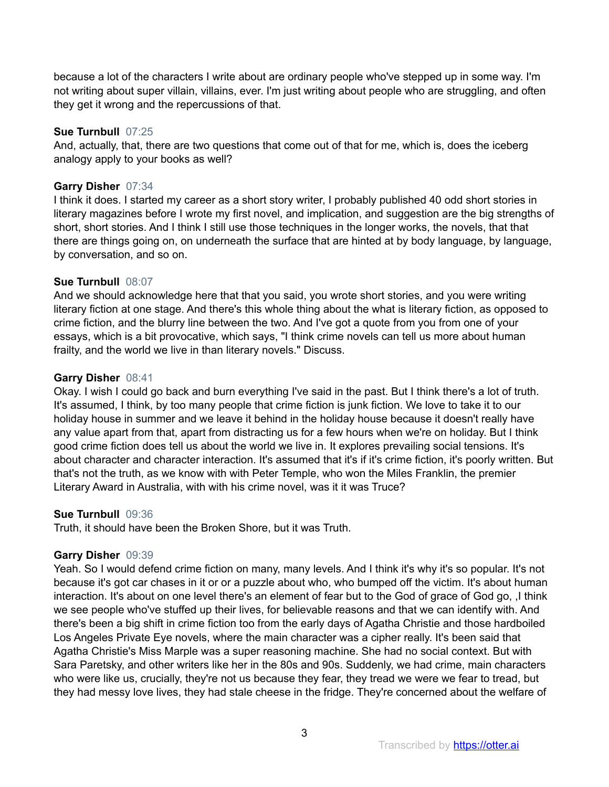because a lot of the characters I write about are ordinary people who've stepped up in some way. I'm not writing about super villain, villains, ever. I'm just writing about people who are struggling, and often they get it wrong and the repercussions of that.

#### **Sue Turnbull** 07:25

And, actually, that, there are two questions that come out of that for me, which is, does the iceberg analogy apply to your books as well?

## **Garry Disher** 07:34

I think it does. I started my career as a short story writer, I probably published 40 odd short stories in literary magazines before I wrote my first novel, and implication, and suggestion are the big strengths of short, short stories. And I think I still use those techniques in the longer works, the novels, that that there are things going on, on underneath the surface that are hinted at by body language, by language, by conversation, and so on.

#### **Sue Turnbull** 08:07

And we should acknowledge here that that you said, you wrote short stories, and you were writing literary fiction at one stage. And there's this whole thing about the what is literary fiction, as opposed to crime fiction, and the blurry line between the two. And I've got a quote from you from one of your essays, which is a bit provocative, which says, "I think crime novels can tell us more about human frailty, and the world we live in than literary novels." Discuss.

#### **Garry Disher** 08:41

Okay. I wish I could go back and burn everything I've said in the past. But I think there's a lot of truth. It's assumed, I think, by too many people that crime fiction is junk fiction. We love to take it to our holiday house in summer and we leave it behind in the holiday house because it doesn't really have any value apart from that, apart from distracting us for a few hours when we're on holiday. But I think good crime fiction does tell us about the world we live in. It explores prevailing social tensions. It's about character and character interaction. It's assumed that it's if it's crime fiction, it's poorly written. But that's not the truth, as we know with with Peter Temple, who won the Miles Franklin, the premier Literary Award in Australia, with with his crime novel, was it it was Truce?

# **Sue Turnbull** 09:36

Truth, it should have been the Broken Shore, but it was Truth.

# **Garry Disher** 09:39

Yeah. So I would defend crime fiction on many, many levels. And I think it's why it's so popular. It's not because it's got car chases in it or or a puzzle about who, who bumped off the victim. It's about human interaction. It's about on one level there's an element of fear but to the God of grace of God go, ,I think we see people who've stuffed up their lives, for believable reasons and that we can identify with. And there's been a big shift in crime fiction too from the early days of Agatha Christie and those hardboiled Los Angeles Private Eye novels, where the main character was a cipher really. It's been said that Agatha Christie's Miss Marple was a super reasoning machine. She had no social context. But with Sara Paretsky, and other writers like her in the 80s and 90s. Suddenly, we had crime, main characters who were like us, crucially, they're not us because they fear, they tread we were we fear to tread, but they had messy love lives, they had stale cheese in the fridge. They're concerned about the welfare of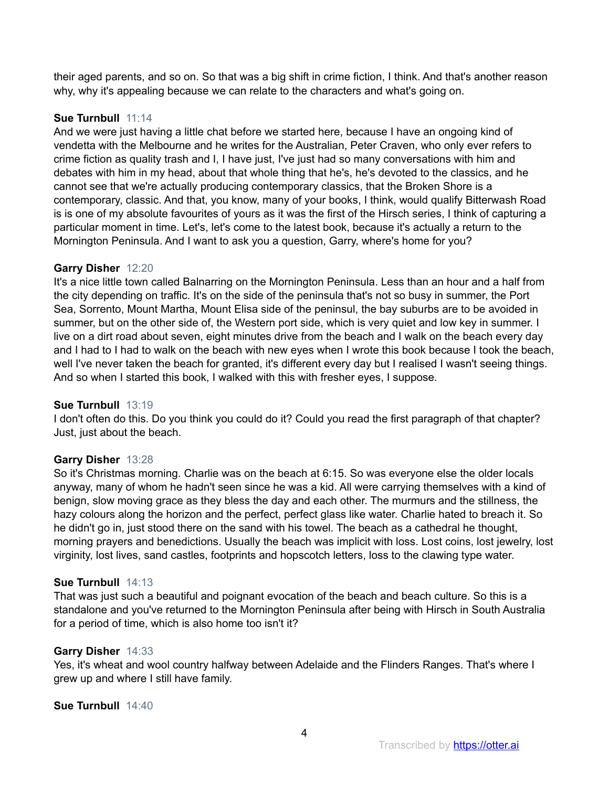their aged parents, and so on. So that was a big shift in crime fiction, I think. And that's another reason why, why it's appealing because we can relate to the characters and what's going on.

# **Sue Turnbull** 11:14

And we were just having a little chat before we started here, because I have an ongoing kind of vendetta with the Melbourne and he writes for the Australian, Peter Craven, who only ever refers to crime fiction as quality trash and I, I have just, I've just had so many conversations with him and debates with him in my head, about that whole thing that he's, he's devoted to the classics, and he cannot see that we're actually producing contemporary classics, that the Broken Shore is a contemporary, classic. And that, you know, many of your books, I think, would qualify Bitterwash Road is is one of my absolute favourites of yours as it was the first of the Hirsch series, I think of capturing a particular moment in time. Let's, let's come to the latest book, because it's actually a return to the Mornington Peninsula. And I want to ask you a question, Garry, where's home for you?

# **Garry Disher** 12:20

It's a nice little town called Balnarring on the Mornington Peninsula. Less than an hour and a half from the city depending on traffic. It's on the side of the peninsula that's not so busy in summer, the Port Sea, Sorrento, Mount Martha, Mount Elisa side of the peninsul, the bay suburbs are to be avoided in summer, but on the other side of, the Western port side, which is very quiet and low key in summer. I live on a dirt road about seven, eight minutes drive from the beach and I walk on the beach every day and I had to I had to walk on the beach with new eyes when I wrote this book because I took the beach, well I've never taken the beach for granted, it's different every day but I realised I wasn't seeing things. And so when I started this book, I walked with this with fresher eyes, I suppose.

# **Sue Turnbull** 13:19

I don't often do this. Do you think you could do it? Could you read the first paragraph of that chapter? Just, just about the beach.

# **Garry Disher** 13:28

So it's Christmas morning. Charlie was on the beach at 6:15. So was everyone else the older locals anyway, many of whom he hadn't seen since he was a kid. All were carrying themselves with a kind of benign, slow moving grace as they bless the day and each other. The murmurs and the stillness, the hazy colours along the horizon and the perfect, perfect glass like water. Charlie hated to breach it. So he didn't go in, just stood there on the sand with his towel. The beach as a cathedral he thought, morning prayers and benedictions. Usually the beach was implicit with loss. Lost coins, lost jewelry, lost virginity, lost lives, sand castles, footprints and hopscotch letters, loss to the clawing type water.

# **Sue Turnbull** 14:13

That was just such a beautiful and poignant evocation of the beach and beach culture. So this is a standalone and you've returned to the Mornington Peninsula after being with Hirsch in South Australia for a period of time, which is also home too isn't it?

# **Garry Disher** 14:33

Yes, it's wheat and wool country halfway between Adelaide and the Flinders Ranges. That's where I grew up and where I still have family.

# **Sue Turnbull** 14:40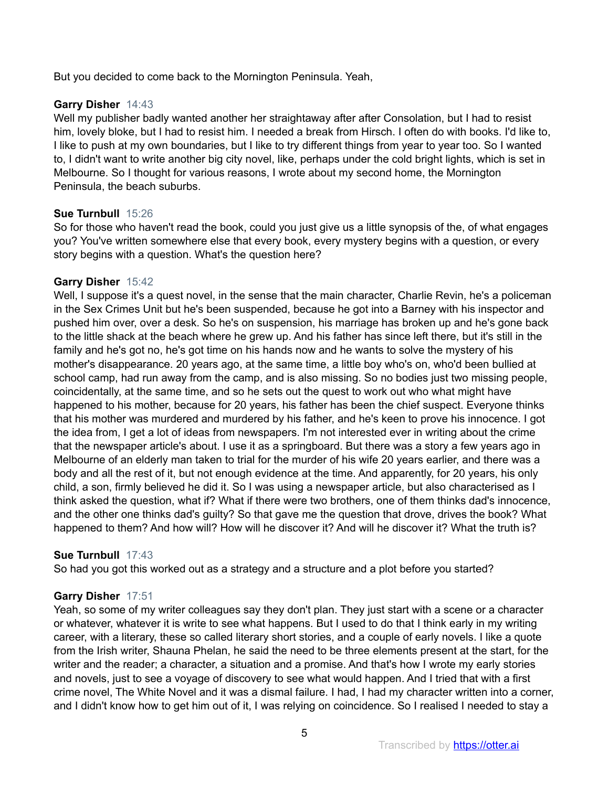But you decided to come back to the Mornington Peninsula. Yeah,

# **Garry Disher** 14:43

Well my publisher badly wanted another her straightaway after after Consolation, but I had to resist him, lovely bloke, but I had to resist him. I needed a break from Hirsch. I often do with books. I'd like to, I like to push at my own boundaries, but I like to try different things from year to year too. So I wanted to, I didn't want to write another big city novel, like, perhaps under the cold bright lights, which is set in Melbourne. So I thought for various reasons, I wrote about my second home, the Mornington Peninsula, the beach suburbs.

# **Sue Turnbull** 15:26

So for those who haven't read the book, could you just give us a little synopsis of the, of what engages you? You've written somewhere else that every book, every mystery begins with a question, or every story begins with a question. What's the question here?

# **Garry Disher** 15:42

Well, I suppose it's a quest novel, in the sense that the main character, Charlie Revin, he's a policeman in the Sex Crimes Unit but he's been suspended, because he got into a Barney with his inspector and pushed him over, over a desk. So he's on suspension, his marriage has broken up and he's gone back to the little shack at the beach where he grew up. And his father has since left there, but it's still in the family and he's got no, he's got time on his hands now and he wants to solve the mystery of his mother's disappearance. 20 years ago, at the same time, a little boy who's on, who'd been bullied at school camp, had run away from the camp, and is also missing. So no bodies just two missing people, coincidentally, at the same time, and so he sets out the quest to work out who what might have happened to his mother, because for 20 years, his father has been the chief suspect. Everyone thinks that his mother was murdered and murdered by his father, and he's keen to prove his innocence. I got the idea from, I get a lot of ideas from newspapers. I'm not interested ever in writing about the crime that the newspaper article's about. I use it as a springboard. But there was a story a few years ago in Melbourne of an elderly man taken to trial for the murder of his wife 20 years earlier, and there was a body and all the rest of it, but not enough evidence at the time. And apparently, for 20 years, his only child, a son, firmly believed he did it. So I was using a newspaper article, but also characterised as I think asked the question, what if? What if there were two brothers, one of them thinks dad's innocence, and the other one thinks dad's guilty? So that gave me the question that drove, drives the book? What happened to them? And how will? How will he discover it? And will he discover it? What the truth is?

# **Sue Turnbull** 17:43

So had you got this worked out as a strategy and a structure and a plot before you started?

# **Garry Disher** 17:51

Yeah, so some of my writer colleagues say they don't plan. They just start with a scene or a character or whatever, whatever it is write to see what happens. But I used to do that I think early in my writing career, with a literary, these so called literary short stories, and a couple of early novels. I like a quote from the Irish writer, Shauna Phelan, he said the need to be three elements present at the start, for the writer and the reader; a character, a situation and a promise. And that's how I wrote my early stories and novels, just to see a voyage of discovery to see what would happen. And I tried that with a first crime novel, The White Novel and it was a dismal failure. I had, I had my character written into a corner, and I didn't know how to get him out of it, I was relying on coincidence. So I realised I needed to stay a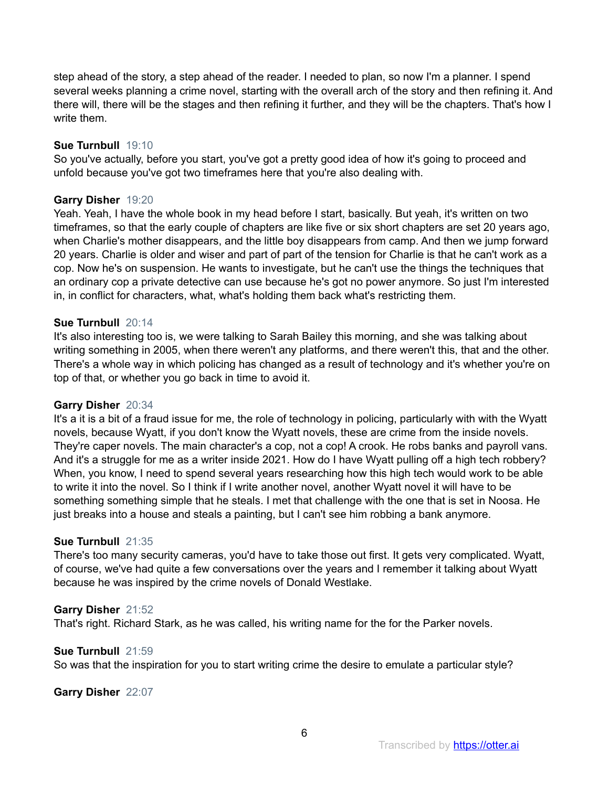step ahead of the story, a step ahead of the reader. I needed to plan, so now I'm a planner. I spend several weeks planning a crime novel, starting with the overall arch of the story and then refining it. And there will, there will be the stages and then refining it further, and they will be the chapters. That's how I write them.

# **Sue Turnbull** 19:10

So you've actually, before you start, you've got a pretty good idea of how it's going to proceed and unfold because you've got two timeframes here that you're also dealing with.

# **Garry Disher** 19:20

Yeah. Yeah, I have the whole book in my head before I start, basically. But yeah, it's written on two timeframes, so that the early couple of chapters are like five or six short chapters are set 20 years ago, when Charlie's mother disappears, and the little boy disappears from camp. And then we jump forward 20 years. Charlie is older and wiser and part of part of the tension for Charlie is that he can't work as a cop. Now he's on suspension. He wants to investigate, but he can't use the things the techniques that an ordinary cop a private detective can use because he's got no power anymore. So just I'm interested in, in conflict for characters, what, what's holding them back what's restricting them.

# **Sue Turnbull** 20:14

It's also interesting too is, we were talking to Sarah Bailey this morning, and she was talking about writing something in 2005, when there weren't any platforms, and there weren't this, that and the other. There's a whole way in which policing has changed as a result of technology and it's whether you're on top of that, or whether you go back in time to avoid it.

# **Garry Disher** 20:34

It's a it is a bit of a fraud issue for me, the role of technology in policing, particularly with with the Wyatt novels, because Wyatt, if you don't know the Wyatt novels, these are crime from the inside novels. They're caper novels. The main character's a cop, not a cop! A crook. He robs banks and payroll vans. And it's a struggle for me as a writer inside 2021. How do I have Wyatt pulling off a high tech robbery? When, you know, I need to spend several years researching how this high tech would work to be able to write it into the novel. So I think if I write another novel, another Wyatt novel it will have to be something something simple that he steals. I met that challenge with the one that is set in Noosa. He just breaks into a house and steals a painting, but I can't see him robbing a bank anymore.

# **Sue Turnbull** 21:35

There's too many security cameras, you'd have to take those out first. It gets very complicated. Wyatt, of course, we've had quite a few conversations over the years and I remember it talking about Wyatt because he was inspired by the crime novels of Donald Westlake.

# **Garry Disher** 21:52

That's right. Richard Stark, as he was called, his writing name for the for the Parker novels.

#### **Sue Turnbull** 21:59

So was that the inspiration for you to start writing crime the desire to emulate a particular style?

**Garry Disher** 22:07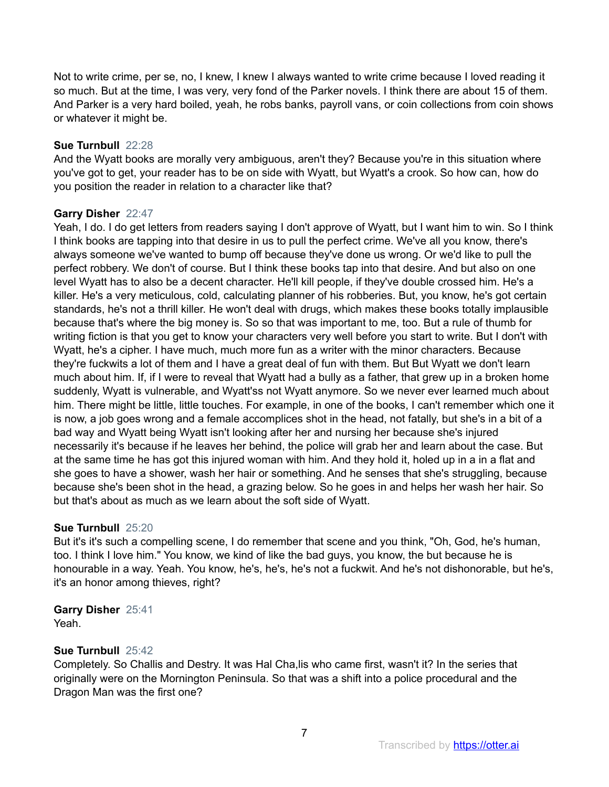Not to write crime, per se, no, I knew, I knew I always wanted to write crime because I loved reading it so much. But at the time, I was very, very fond of the Parker novels. I think there are about 15 of them. And Parker is a very hard boiled, yeah, he robs banks, payroll vans, or coin collections from coin shows or whatever it might be.

# **Sue Turnbull** 22:28

And the Wyatt books are morally very ambiguous, aren't they? Because you're in this situation where you've got to get, your reader has to be on side with Wyatt, but Wyatt's a crook. So how can, how do you position the reader in relation to a character like that?

# **Garry Disher** 22:47

Yeah, I do. I do get letters from readers saying I don't approve of Wyatt, but I want him to win. So I think I think books are tapping into that desire in us to pull the perfect crime. We've all you know, there's always someone we've wanted to bump off because they've done us wrong. Or we'd like to pull the perfect robbery. We don't of course. But I think these books tap into that desire. And but also on one level Wyatt has to also be a decent character. He'll kill people, if they've double crossed him. He's a killer. He's a very meticulous, cold, calculating planner of his robberies. But, you know, he's got certain standards, he's not a thrill killer. He won't deal with drugs, which makes these books totally implausible because that's where the big money is. So so that was important to me, too. But a rule of thumb for writing fiction is that you get to know your characters very well before you start to write. But I don't with Wyatt, he's a cipher. I have much, much more fun as a writer with the minor characters. Because they're fuckwits a lot of them and I have a great deal of fun with them. But But Wyatt we don't learn much about him. If, if I were to reveal that Wyatt had a bully as a father, that grew up in a broken home suddenly, Wyatt is vulnerable, and Wyatt'ss not Wyatt anymore. So we never ever learned much about him. There might be little, little touches. For example, in one of the books, I can't remember which one it is now, a job goes wrong and a female accomplices shot in the head, not fatally, but she's in a bit of a bad way and Wyatt being Wyatt isn't looking after her and nursing her because she's injured necessarily it's because if he leaves her behind, the police will grab her and learn about the case. But at the same time he has got this injured woman with him. And they hold it, holed up in a in a flat and she goes to have a shower, wash her hair or something. And he senses that she's struggling, because because she's been shot in the head, a grazing below. So he goes in and helps her wash her hair. So but that's about as much as we learn about the soft side of Wyatt.

# **Sue Turnbull** 25:20

But it's it's such a compelling scene, I do remember that scene and you think, "Oh, God, he's human, too. I think I love him." You know, we kind of like the bad guys, you know, the but because he is honourable in a way. Yeah. You know, he's, he's, he's not a fuckwit. And he's not dishonorable, but he's, it's an honor among thieves, right?

**Garry Disher** 25:41 Yeah.

# **Sue Turnbull** 25:42

Completely. So Challis and Destry. It was Hal Cha,lis who came first, wasn't it? In the series that originally were on the Mornington Peninsula. So that was a shift into a police procedural and the Dragon Man was the first one?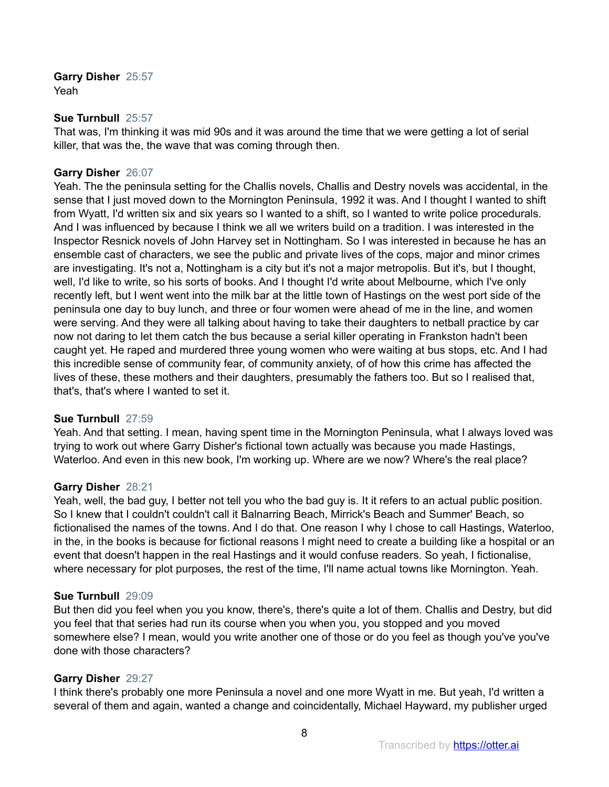**Garry Disher** 25:57 Yeah

#### **Sue Turnbull** 25:57

That was, I'm thinking it was mid 90s and it was around the time that we were getting a lot of serial killer, that was the, the wave that was coming through then.

## **Garry Disher** 26:07

Yeah. The the peninsula setting for the Challis novels, Challis and Destry novels was accidental, in the sense that I just moved down to the Mornington Peninsula, 1992 it was. And I thought I wanted to shift from Wyatt, I'd written six and six years so I wanted to a shift, so I wanted to write police procedurals. And I was influenced by because I think we all we writers build on a tradition. I was interested in the Inspector Resnick novels of John Harvey set in Nottingham. So I was interested in because he has an ensemble cast of characters, we see the public and private lives of the cops, major and minor crimes are investigating. It's not a, Nottingham is a city but it's not a major metropolis. But it's, but I thought, well, I'd like to write, so his sorts of books. And I thought I'd write about Melbourne, which I've only recently left, but I went went into the milk bar at the little town of Hastings on the west port side of the peninsula one day to buy lunch, and three or four women were ahead of me in the line, and women were serving. And they were all talking about having to take their daughters to netball practice by car now not daring to let them catch the bus because a serial killer operating in Frankston hadn't been caught yet. He raped and murdered three young women who were waiting at bus stops, etc. And I had this incredible sense of community fear, of community anxiety, of of how this crime has affected the lives of these, these mothers and their daughters, presumably the fathers too. But so I realised that, that's, that's where I wanted to set it.

#### **Sue Turnbull** 27:59

Yeah. And that setting. I mean, having spent time in the Mornington Peninsula, what I always loved was trying to work out where Garry Disher's fictional town actually was because you made Hastings, Waterloo. And even in this new book, I'm working up. Where are we now? Where's the real place?

#### **Garry Disher** 28:21

Yeah, well, the bad guy, I better not tell you who the bad guy is. It it refers to an actual public position. So I knew that I couldn't couldn't call it Balnarring Beach, Mirrick's Beach and Summer' Beach, so fictionalised the names of the towns. And I do that. One reason I why I chose to call Hastings, Waterloo, in the, in the books is because for fictional reasons I might need to create a building like a hospital or an event that doesn't happen in the real Hastings and it would confuse readers. So yeah, I fictionalise, where necessary for plot purposes, the rest of the time, I'll name actual towns like Mornington. Yeah.

#### **Sue Turnbull** 29:09

But then did you feel when you you know, there's, there's quite a lot of them. Challis and Destry, but did you feel that that series had run its course when you when you, you stopped and you moved somewhere else? I mean, would you write another one of those or do you feel as though you've you've done with those characters?

#### **Garry Disher** 29:27

I think there's probably one more Peninsula a novel and one more Wyatt in me. But yeah, I'd written a several of them and again, wanted a change and coincidentally, Michael Hayward, my publisher urged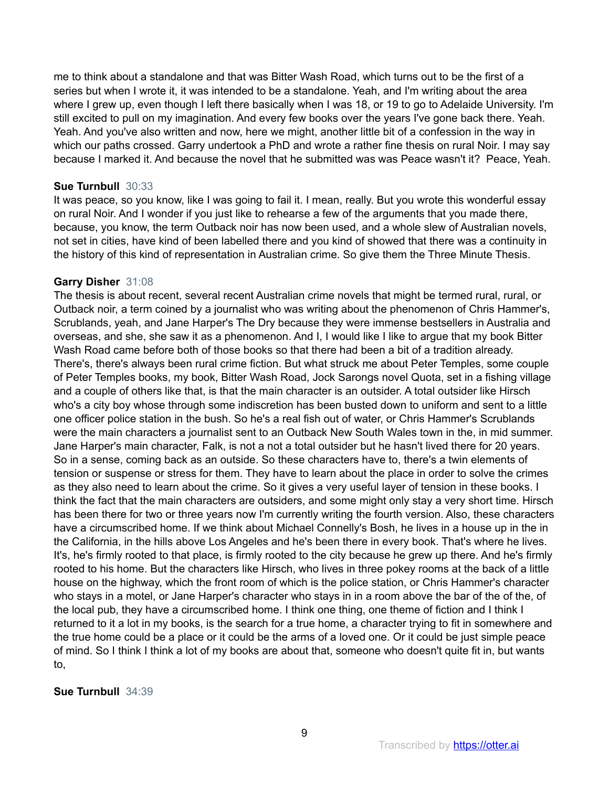me to think about a standalone and that was Bitter Wash Road, which turns out to be the first of a series but when I wrote it, it was intended to be a standalone. Yeah, and I'm writing about the area where I grew up, even though I left there basically when I was 18, or 19 to go to Adelaide University. I'm still excited to pull on my imagination. And every few books over the years I've gone back there. Yeah. Yeah. And you've also written and now, here we might, another little bit of a confession in the way in which our paths crossed. Garry undertook a PhD and wrote a rather fine thesis on rural Noir. I may say because I marked it. And because the novel that he submitted was was Peace wasn't it? Peace, Yeah.

## **Sue Turnbull** 30:33

It was peace, so you know, like I was going to fail it. I mean, really. But you wrote this wonderful essay on rural Noir. And I wonder if you just like to rehearse a few of the arguments that you made there, because, you know, the term Outback noir has now been used, and a whole slew of Australian novels, not set in cities, have kind of been labelled there and you kind of showed that there was a continuity in the history of this kind of representation in Australian crime. So give them the Three Minute Thesis.

#### **Garry Disher** 31:08

The thesis is about recent, several recent Australian crime novels that might be termed rural, rural, or Outback noir, a term coined by a journalist who was writing about the phenomenon of Chris Hammer's, Scrublands, yeah, and Jane Harper's The Dry because they were immense bestsellers in Australia and overseas, and she, she saw it as a phenomenon. And I, I would like I like to argue that my book Bitter Wash Road came before both of those books so that there had been a bit of a tradition already. There's, there's always been rural crime fiction. But what struck me about Peter Temples, some couple of Peter Temples books, my book, Bitter Wash Road, Jock Sarongs novel Quota, set in a fishing village and a couple of others like that, is that the main character is an outsider. A total outsider like Hirsch who's a city boy whose through some indiscretion has been busted down to uniform and sent to a little one officer police station in the bush. So he's a real fish out of water, or Chris Hammer's Scrublands were the main characters a journalist sent to an Outback New South Wales town in the, in mid summer. Jane Harper's main character, Falk, is not a not a total outsider but he hasn't lived there for 20 years. So in a sense, coming back as an outside. So these characters have to, there's a twin elements of tension or suspense or stress for them. They have to learn about the place in order to solve the crimes as they also need to learn about the crime. So it gives a very useful layer of tension in these books. I think the fact that the main characters are outsiders, and some might only stay a very short time. Hirsch has been there for two or three years now I'm currently writing the fourth version. Also, these characters have a circumscribed home. If we think about Michael Connelly's Bosh, he lives in a house up in the in the California, in the hills above Los Angeles and he's been there in every book. That's where he lives. It's, he's firmly rooted to that place, is firmly rooted to the city because he grew up there. And he's firmly rooted to his home. But the characters like Hirsch, who lives in three pokey rooms at the back of a little house on the highway, which the front room of which is the police station, or Chris Hammer's character who stays in a motel, or Jane Harper's character who stays in in a room above the bar of the of the, of the local pub, they have a circumscribed home. I think one thing, one theme of fiction and I think I returned to it a lot in my books, is the search for a true home, a character trying to fit in somewhere and the true home could be a place or it could be the arms of a loved one. Or it could be just simple peace of mind. So I think I think a lot of my books are about that, someone who doesn't quite fit in, but wants to,

#### **Sue Turnbull** 34:39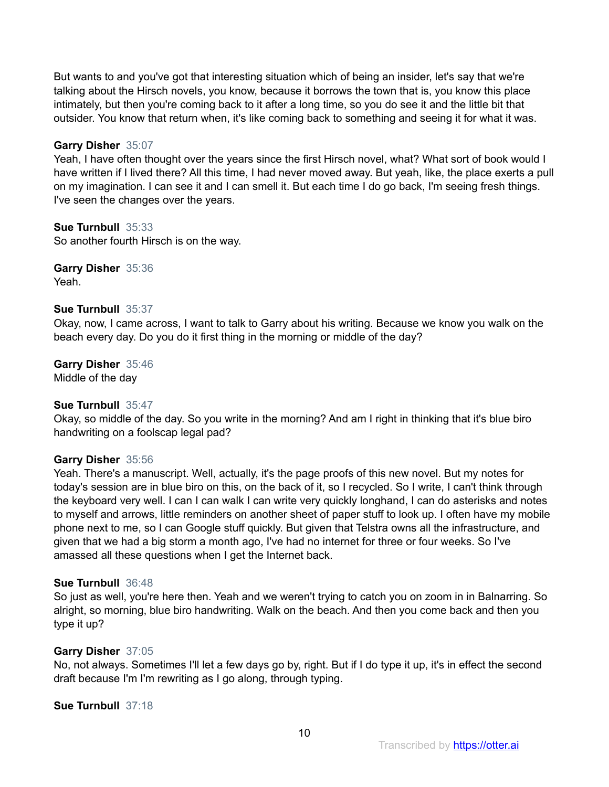But wants to and you've got that interesting situation which of being an insider, let's say that we're talking about the Hirsch novels, you know, because it borrows the town that is, you know this place intimately, but then you're coming back to it after a long time, so you do see it and the little bit that outsider. You know that return when, it's like coming back to something and seeing it for what it was.

# **Garry Disher** 35:07

Yeah, I have often thought over the years since the first Hirsch novel, what? What sort of book would I have written if I lived there? All this time, I had never moved away. But yeah, like, the place exerts a pull on my imagination. I can see it and I can smell it. But each time I do go back, I'm seeing fresh things. I've seen the changes over the years.

# **Sue Turnbull** 35:33

So another fourth Hirsch is on the way.

**Garry Disher** 35:36 Yeah.

# **Sue Turnbull** 35:37

Okay, now, I came across, I want to talk to Garry about his writing. Because we know you walk on the beach every day. Do you do it first thing in the morning or middle of the day?

**Garry Disher** 35:46 Middle of the day

# **Sue Turnbull** 35:47

Okay, so middle of the day. So you write in the morning? And am I right in thinking that it's blue biro handwriting on a foolscap legal pad?

# **Garry Disher** 35:56

Yeah. There's a manuscript. Well, actually, it's the page proofs of this new novel. But my notes for today's session are in blue biro on this, on the back of it, so I recycled. So I write, I can't think through the keyboard very well. I can I can walk I can write very quickly longhand, I can do asterisks and notes to myself and arrows, little reminders on another sheet of paper stuff to look up. I often have my mobile phone next to me, so I can Google stuff quickly. But given that Telstra owns all the infrastructure, and given that we had a big storm a month ago, I've had no internet for three or four weeks. So I've amassed all these questions when I get the Internet back.

# **Sue Turnbull** 36:48

So just as well, you're here then. Yeah and we weren't trying to catch you on zoom in in Balnarring. So alright, so morning, blue biro handwriting. Walk on the beach. And then you come back and then you type it up?

# **Garry Disher** 37:05

No, not always. Sometimes I'll let a few days go by, right. But if I do type it up, it's in effect the second draft because I'm I'm rewriting as I go along, through typing.

#### **Sue Turnbull** 37:18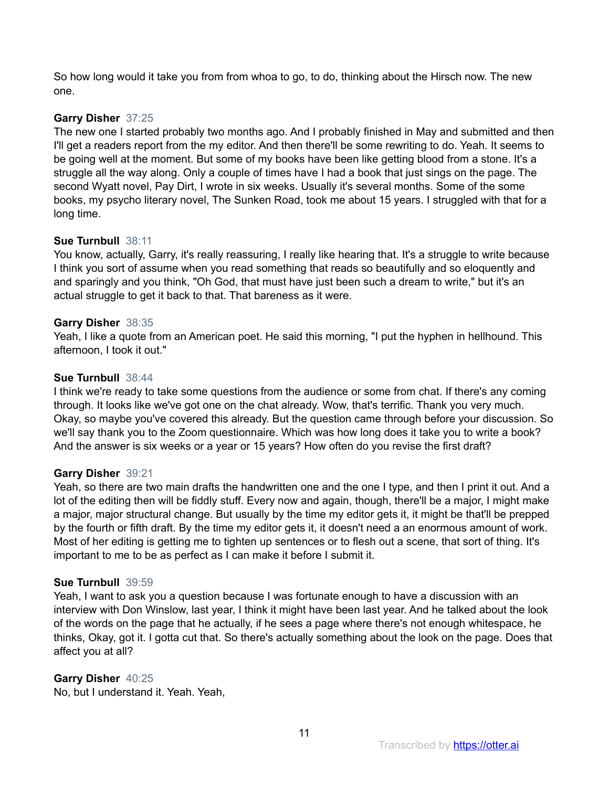So how long would it take you from from whoa to go, to do, thinking about the Hirsch now. The new one.

# **Garry Disher** 37:25

The new one I started probably two months ago. And I probably finished in May and submitted and then I'll get a readers report from the my editor. And then there'll be some rewriting to do. Yeah. It seems to be going well at the moment. But some of my books have been like getting blood from a stone. It's a struggle all the way along. Only a couple of times have I had a book that just sings on the page. The second Wyatt novel, Pay Dirt, I wrote in six weeks. Usually it's several months. Some of the some books, my psycho literary novel, The Sunken Road, took me about 15 years. I struggled with that for a long time.

# **Sue Turnbull** 38:11

You know, actually, Garry, it's really reassuring, I really like hearing that. It's a struggle to write because I think you sort of assume when you read something that reads so beautifully and so eloquently and and sparingly and you think, "Oh God, that must have just been such a dream to write," but it's an actual struggle to get it back to that. That bareness as it were.

# **Garry Disher** 38:35

Yeah, I like a quote from an American poet. He said this morning, "I put the hyphen in hellhound. This afternoon, I took it out."

# **Sue Turnbull** 38:44

I think we're ready to take some questions from the audience or some from chat. If there's any coming through. It looks like we've got one on the chat already. Wow, that's terrific. Thank you very much. Okay, so maybe you've covered this already. But the question came through before your discussion. So we'll say thank you to the Zoom questionnaire. Which was how long does it take you to write a book? And the answer is six weeks or a year or 15 years? How often do you revise the first draft?

# **Garry Disher** 39:21

Yeah, so there are two main drafts the handwritten one and the one I type, and then I print it out. And a lot of the editing then will be fiddly stuff. Every now and again, though, there'll be a major, I might make a major, major structural change. But usually by the time my editor gets it, it might be that'll be prepped by the fourth or fifth draft. By the time my editor gets it, it doesn't need a an enormous amount of work. Most of her editing is getting me to tighten up sentences or to flesh out a scene, that sort of thing. It's important to me to be as perfect as I can make it before I submit it.

# **Sue Turnbull** 39:59

Yeah, I want to ask you a question because I was fortunate enough to have a discussion with an interview with Don Winslow, last year, I think it might have been last year. And he talked about the look of the words on the page that he actually, if he sees a page where there's not enough whitespace, he thinks, Okay, got it. I gotta cut that. So there's actually something about the look on the page. Does that affect you at all?

# **Garry Disher** 40:25

No, but I understand it. Yeah. Yeah,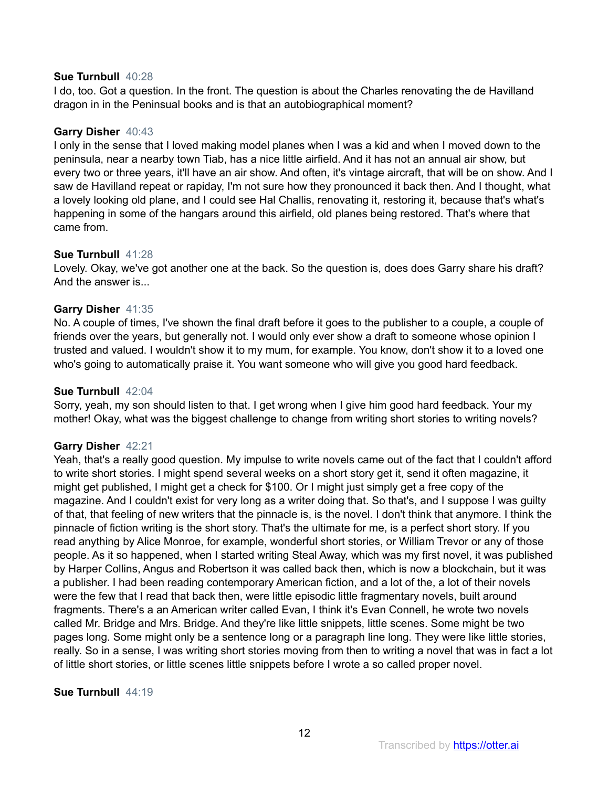#### **Sue Turnbull** 40:28

I do, too. Got a question. In the front. The question is about the Charles renovating the de Havilland dragon in in the Peninsual books and is that an autobiographical moment?

#### **Garry Disher** 40:43

I only in the sense that I loved making model planes when I was a kid and when I moved down to the peninsula, near a nearby town Tiab, has a nice little airfield. And it has not an annual air show, but every two or three years, it'll have an air show. And often, it's vintage aircraft, that will be on show. And I saw de Havilland repeat or rapiday, I'm not sure how they pronounced it back then. And I thought, what a lovely looking old plane, and I could see Hal Challis, renovating it, restoring it, because that's what's happening in some of the hangars around this airfield, old planes being restored. That's where that came from.

#### **Sue Turnbull** 41:28

Lovely. Okay, we've got another one at the back. So the question is, does does Garry share his draft? And the answer is...

# **Garry Disher** 41:35

No. A couple of times, I've shown the final draft before it goes to the publisher to a couple, a couple of friends over the years, but generally not. I would only ever show a draft to someone whose opinion I trusted and valued. I wouldn't show it to my mum, for example. You know, don't show it to a loved one who's going to automatically praise it. You want someone who will give you good hard feedback.

## **Sue Turnbull** 42:04

Sorry, yeah, my son should listen to that. I get wrong when I give him good hard feedback. Your my mother! Okay, what was the biggest challenge to change from writing short stories to writing novels?

# **Garry Disher** 42:21

Yeah, that's a really good question. My impulse to write novels came out of the fact that I couldn't afford to write short stories. I might spend several weeks on a short story get it, send it often magazine, it might get published, I might get a check for \$100. Or I might just simply get a free copy of the magazine. And I couldn't exist for very long as a writer doing that. So that's, and I suppose I was guilty of that, that feeling of new writers that the pinnacle is, is the novel. I don't think that anymore. I think the pinnacle of fiction writing is the short story. That's the ultimate for me, is a perfect short story. If you read anything by Alice Monroe, for example, wonderful short stories, or William Trevor or any of those people. As it so happened, when I started writing Steal Away, which was my first novel, it was published by Harper Collins, Angus and Robertson it was called back then, which is now a blockchain, but it was a publisher. I had been reading contemporary American fiction, and a lot of the, a lot of their novels were the few that I read that back then, were little episodic little fragmentary novels, built around fragments. There's a an American writer called Evan, I think it's Evan Connell, he wrote two novels called Mr. Bridge and Mrs. Bridge. And they're like little snippets, little scenes. Some might be two pages long. Some might only be a sentence long or a paragraph line long. They were like little stories, really. So in a sense, I was writing short stories moving from then to writing a novel that was in fact a lot of little short stories, or little scenes little snippets before I wrote a so called proper novel.

#### **Sue Turnbull** 44:19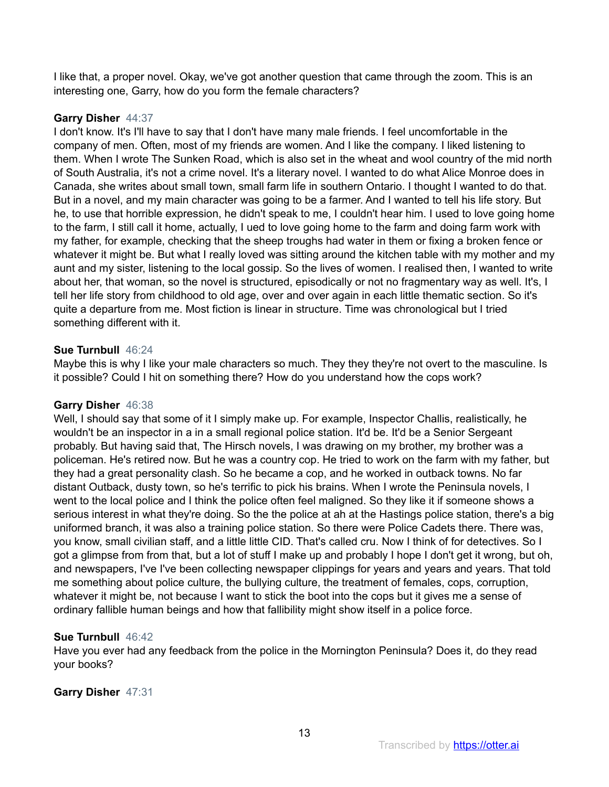I like that, a proper novel. Okay, we've got another question that came through the zoom. This is an interesting one, Garry, how do you form the female characters?

# **Garry Disher** 44:37

I don't know. It's I'll have to say that I don't have many male friends. I feel uncomfortable in the company of men. Often, most of my friends are women. And I like the company. I liked listening to them. When I wrote The Sunken Road, which is also set in the wheat and wool country of the mid north of South Australia, it's not a crime novel. It's a literary novel. I wanted to do what Alice Monroe does in Canada, she writes about small town, small farm life in southern Ontario. I thought I wanted to do that. But in a novel, and my main character was going to be a farmer. And I wanted to tell his life story. But he, to use that horrible expression, he didn't speak to me, I couldn't hear him. I used to love going home to the farm, I still call it home, actually, I ued to love going home to the farm and doing farm work with my father, for example, checking that the sheep troughs had water in them or fixing a broken fence or whatever it might be. But what I really loved was sitting around the kitchen table with my mother and my aunt and my sister, listening to the local gossip. So the lives of women. I realised then, I wanted to write about her, that woman, so the novel is structured, episodically or not no fragmentary way as well. It's, I tell her life story from childhood to old age, over and over again in each little thematic section. So it's quite a departure from me. Most fiction is linear in structure. Time was chronological but I tried something different with it.

# **Sue Turnbull** 46:24

Maybe this is why I like your male characters so much. They they they're not overt to the masculine. Is it possible? Could I hit on something there? How do you understand how the cops work?

# **Garry Disher** 46:38

Well, I should say that some of it I simply make up. For example, Inspector Challis, realistically, he wouldn't be an inspector in a in a small regional police station. It'd be. It'd be a Senior Sergeant probably. But having said that, The Hirsch novels, I was drawing on my brother, my brother was a policeman. He's retired now. But he was a country cop. He tried to work on the farm with my father, but they had a great personality clash. So he became a cop, and he worked in outback towns. No far distant Outback, dusty town, so he's terrific to pick his brains. When I wrote the Peninsula novels, I went to the local police and I think the police often feel maligned. So they like it if someone shows a serious interest in what they're doing. So the the police at ah at the Hastings police station, there's a big uniformed branch, it was also a training police station. So there were Police Cadets there. There was, you know, small civilian staff, and a little little CID. That's called cru. Now I think of for detectives. So I got a glimpse from from that, but a lot of stuff I make up and probably I hope I don't get it wrong, but oh, and newspapers, I've I've been collecting newspaper clippings for years and years and years. That told me something about police culture, the bullying culture, the treatment of females, cops, corruption, whatever it might be, not because I want to stick the boot into the cops but it gives me a sense of ordinary fallible human beings and how that fallibility might show itself in a police force.

# **Sue Turnbull** 46:42

Have you ever had any feedback from the police in the Mornington Peninsula? Does it, do they read your books?

# **Garry Disher** 47:31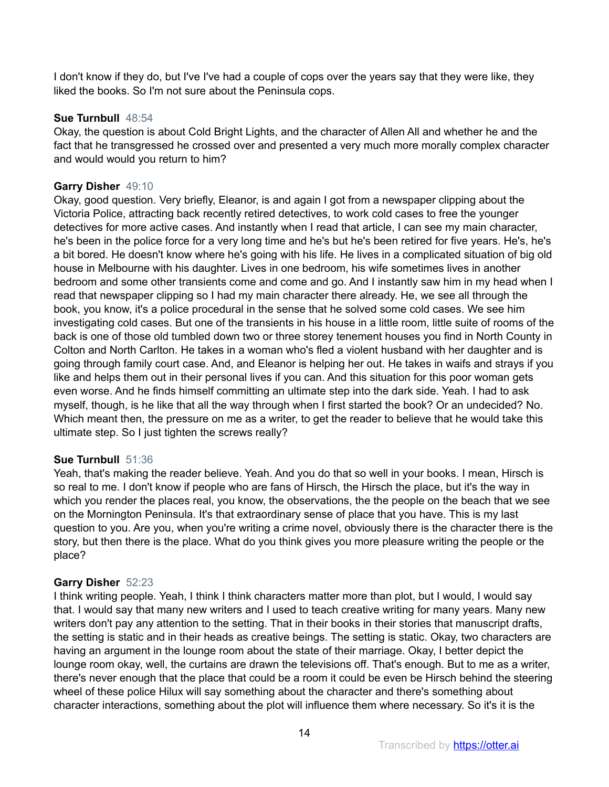I don't know if they do, but I've I've had a couple of cops over the years say that they were like, they liked the books. So I'm not sure about the Peninsula cops.

# **Sue Turnbull** 48:54

Okay, the question is about Cold Bright Lights, and the character of Allen All and whether he and the fact that he transgressed he crossed over and presented a very much more morally complex character and would would you return to him?

# **Garry Disher** 49:10

Okay, good question. Very briefly, Eleanor, is and again I got from a newspaper clipping about the Victoria Police, attracting back recently retired detectives, to work cold cases to free the younger detectives for more active cases. And instantly when I read that article, I can see my main character, he's been in the police force for a very long time and he's but he's been retired for five years. He's, he's a bit bored. He doesn't know where he's going with his life. He lives in a complicated situation of big old house in Melbourne with his daughter. Lives in one bedroom, his wife sometimes lives in another bedroom and some other transients come and come and go. And I instantly saw him in my head when I read that newspaper clipping so I had my main character there already. He, we see all through the book, you know, it's a police procedural in the sense that he solved some cold cases. We see him investigating cold cases. But one of the transients in his house in a little room, little suite of rooms of the back is one of those old tumbled down two or three storey tenement houses you find in North County in Colton and North Carlton. He takes in a woman who's fled a violent husband with her daughter and is going through family court case. And, and Eleanor is helping her out. He takes in waifs and strays if you like and helps them out in their personal lives if you can. And this situation for this poor woman gets even worse. And he finds himself committing an ultimate step into the dark side. Yeah. I had to ask myself, though, is he like that all the way through when I first started the book? Or an undecided? No. Which meant then, the pressure on me as a writer, to get the reader to believe that he would take this ultimate step. So I just tighten the screws really?

# **Sue Turnbull** 51:36

Yeah, that's making the reader believe. Yeah. And you do that so well in your books. I mean, Hirsch is so real to me. I don't know if people who are fans of Hirsch, the Hirsch the place, but it's the way in which you render the places real, you know, the observations, the the people on the beach that we see on the Mornington Peninsula. It's that extraordinary sense of place that you have. This is my last question to you. Are you, when you're writing a crime novel, obviously there is the character there is the story, but then there is the place. What do you think gives you more pleasure writing the people or the place?

# **Garry Disher** 52:23

I think writing people. Yeah, I think I think characters matter more than plot, but I would, I would say that. I would say that many new writers and I used to teach creative writing for many years. Many new writers don't pay any attention to the setting. That in their books in their stories that manuscript drafts, the setting is static and in their heads as creative beings. The setting is static. Okay, two characters are having an argument in the lounge room about the state of their marriage. Okay, I better depict the lounge room okay, well, the curtains are drawn the televisions off. That's enough. But to me as a writer, there's never enough that the place that could be a room it could be even be Hirsch behind the steering wheel of these police Hilux will say something about the character and there's something about character interactions, something about the plot will influence them where necessary. So it's it is the